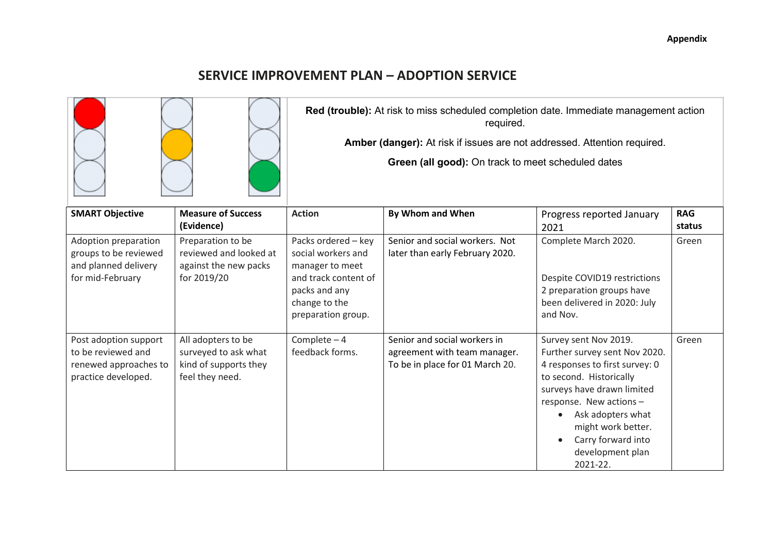## **SERVICE IMPROVEMENT PLAN – ADOPTION SERVICE**

| <b>Red (trouble):</b> At risk to miss scheduled completion date. Immediate management action<br>required.<br>Amber (danger): At risk if issues are not addressed. Attention required.<br>Green (all good): On track to meet scheduled dates |                                                                                        |                                                                                                                                              |                                                                                                 |                                                                                                                                                                                                                                                                                            |                      |
|---------------------------------------------------------------------------------------------------------------------------------------------------------------------------------------------------------------------------------------------|----------------------------------------------------------------------------------------|----------------------------------------------------------------------------------------------------------------------------------------------|-------------------------------------------------------------------------------------------------|--------------------------------------------------------------------------------------------------------------------------------------------------------------------------------------------------------------------------------------------------------------------------------------------|----------------------|
| <b>SMART Objective</b>                                                                                                                                                                                                                      | <b>Measure of Success</b><br>(Evidence)                                                | <b>Action</b>                                                                                                                                | By Whom and When                                                                                | Progress reported January<br>2021                                                                                                                                                                                                                                                          | <b>RAG</b><br>status |
| Adoption preparation<br>groups to be reviewed<br>and planned delivery<br>for mid-February                                                                                                                                                   | Preparation to be<br>reviewed and looked at<br>against the new packs<br>for 2019/20    | Packs ordered - key<br>social workers and<br>manager to meet<br>and track content of<br>packs and any<br>change to the<br>preparation group. | Senior and social workers. Not<br>later than early February 2020.                               | Complete March 2020.<br>Despite COVID19 restrictions<br>2 preparation groups have<br>been delivered in 2020: July<br>and Nov.                                                                                                                                                              | Green                |
| Post adoption support<br>to be reviewed and<br>renewed approaches to<br>practice developed.                                                                                                                                                 | All adopters to be<br>surveyed to ask what<br>kind of supports they<br>feel they need. | Complete $-4$<br>feedback forms.                                                                                                             | Senior and social workers in<br>agreement with team manager.<br>To be in place for 01 March 20. | Survey sent Nov 2019.<br>Further survey sent Nov 2020.<br>4 responses to first survey: 0<br>to second. Historically<br>surveys have drawn limited<br>response. New actions -<br>Ask adopters what<br>$\bullet$<br>might work better.<br>Carry forward into<br>development plan<br>2021-22. | Green                |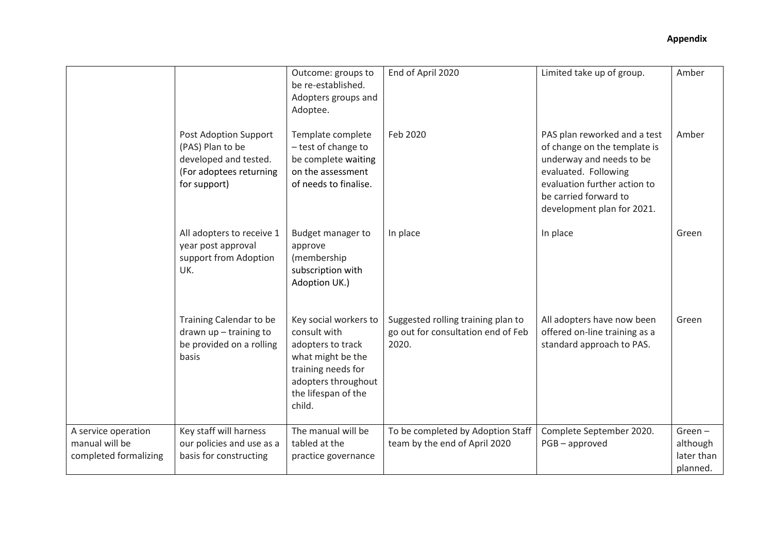## **Appendix**

|                                                                |                                                                                                               | Outcome: groups to<br>be re-established.<br>Adopters groups and<br>Adoptee.                                                                                   | End of April 2020                                                                 | Limited take up of group.                                                                                                                                                                               | Amber                                           |
|----------------------------------------------------------------|---------------------------------------------------------------------------------------------------------------|---------------------------------------------------------------------------------------------------------------------------------------------------------------|-----------------------------------------------------------------------------------|---------------------------------------------------------------------------------------------------------------------------------------------------------------------------------------------------------|-------------------------------------------------|
|                                                                | Post Adoption Support<br>(PAS) Plan to be<br>developed and tested.<br>(For adoptees returning<br>for support) | Template complete<br>- test of change to<br>be complete waiting<br>on the assessment<br>of needs to finalise.                                                 | Feb 2020                                                                          | PAS plan reworked and a test<br>of change on the template is<br>underway and needs to be<br>evaluated. Following<br>evaluation further action to<br>be carried forward to<br>development plan for 2021. | Amber                                           |
|                                                                | All adopters to receive 1<br>year post approval<br>support from Adoption<br>UK.                               | Budget manager to<br>approve<br>(membership<br>subscription with<br>Adoption UK.)                                                                             | In place                                                                          | In place                                                                                                                                                                                                | Green                                           |
|                                                                | Training Calendar to be<br>drawn $up$ - training to<br>be provided on a rolling<br>basis                      | Key social workers to<br>consult with<br>adopters to track<br>what might be the<br>training needs for<br>adopters throughout<br>the lifespan of the<br>child. | Suggested rolling training plan to<br>go out for consultation end of Feb<br>2020. | All adopters have now been<br>offered on-line training as a<br>standard approach to PAS.                                                                                                                | Green                                           |
| A service operation<br>manual will be<br>completed formalizing | Key staff will harness<br>our policies and use as a<br>basis for constructing                                 | The manual will be<br>tabled at the<br>practice governance                                                                                                    | To be completed by Adoption Staff<br>team by the end of April 2020                | Complete September 2020.<br>$PGB$ – approved                                                                                                                                                            | $Green -$<br>although<br>later than<br>planned. |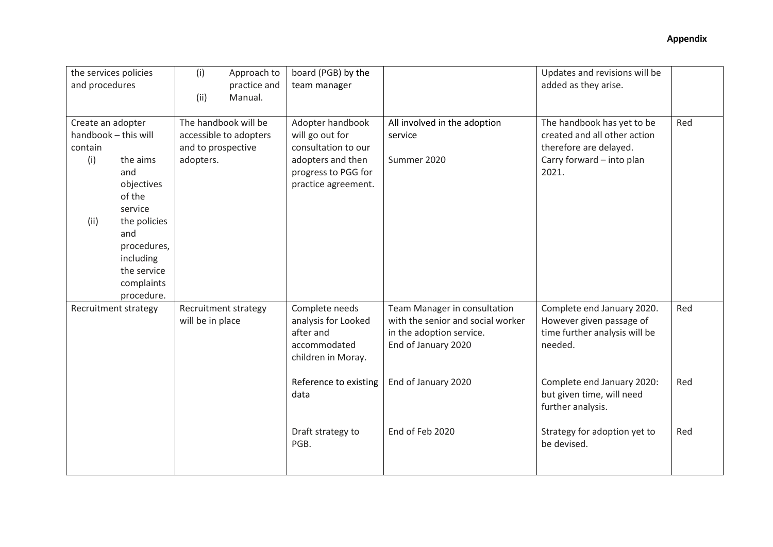| the services policies<br>and procedures                                                                                                                                                                                 | (i)<br>Approach to<br>practice and<br>(ii)<br>Manual.                             | board (PGB) by the<br>team manager                                                                                                                     |                                                                                                                                                                | Updates and revisions will be<br>added as they arise.                                                                                                                                                                             |                   |
|-------------------------------------------------------------------------------------------------------------------------------------------------------------------------------------------------------------------------|-----------------------------------------------------------------------------------|--------------------------------------------------------------------------------------------------------------------------------------------------------|----------------------------------------------------------------------------------------------------------------------------------------------------------------|-----------------------------------------------------------------------------------------------------------------------------------------------------------------------------------------------------------------------------------|-------------------|
| Create an adopter<br>handbook - this will<br>contain<br>(i)<br>the aims<br>and<br>objectives<br>of the<br>service<br>the policies<br>(ii)<br>and<br>procedures,<br>including<br>the service<br>complaints<br>procedure. | The handbook will be<br>accessible to adopters<br>and to prospective<br>adopters. | Adopter handbook<br>will go out for<br>consultation to our<br>adopters and then<br>progress to PGG for<br>practice agreement.                          | All involved in the adoption<br>service<br>Summer 2020                                                                                                         | The handbook has yet to be<br>created and all other action<br>therefore are delayed.<br>Carry forward - into plan<br>2021.                                                                                                        | Red               |
| Recruitment strategy                                                                                                                                                                                                    | <b>Recruitment strategy</b><br>will be in place                                   | Complete needs<br>analysis for Looked<br>after and<br>accommodated<br>children in Moray.<br>Reference to existing<br>data<br>Draft strategy to<br>PGB. | Team Manager in consultation<br>with the senior and social worker<br>in the adoption service.<br>End of January 2020<br>End of January 2020<br>End of Feb 2020 | Complete end January 2020.<br>However given passage of<br>time further analysis will be<br>needed.<br>Complete end January 2020:<br>but given time, will need<br>further analysis.<br>Strategy for adoption yet to<br>be devised. | Red<br>Red<br>Red |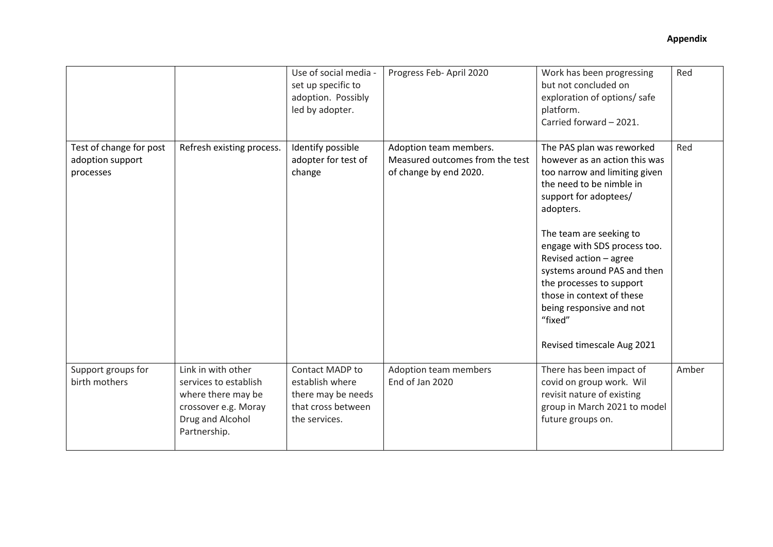|                                                          |                                                                                                                               | Use of social media -<br>set up specific to<br>adoption. Possibly<br>led by adopter.            | Progress Feb- April 2020                                                            | Work has been progressing<br>but not concluded on<br>exploration of options/ safe<br>platform.<br>Carried forward - 2021.                                                                                                                                                                                                                                                                                       | Red   |
|----------------------------------------------------------|-------------------------------------------------------------------------------------------------------------------------------|-------------------------------------------------------------------------------------------------|-------------------------------------------------------------------------------------|-----------------------------------------------------------------------------------------------------------------------------------------------------------------------------------------------------------------------------------------------------------------------------------------------------------------------------------------------------------------------------------------------------------------|-------|
| Test of change for post<br>adoption support<br>processes | Refresh existing process.                                                                                                     | Identify possible<br>adopter for test of<br>change                                              | Adoption team members.<br>Measured outcomes from the test<br>of change by end 2020. | The PAS plan was reworked<br>however as an action this was<br>too narrow and limiting given<br>the need to be nimble in<br>support for adoptees/<br>adopters.<br>The team are seeking to<br>engage with SDS process too.<br>Revised action - agree<br>systems around PAS and then<br>the processes to support<br>those in context of these<br>being responsive and not<br>"fixed"<br>Revised timescale Aug 2021 | Red   |
| Support groups for<br>birth mothers                      | Link in with other<br>services to establish<br>where there may be<br>crossover e.g. Moray<br>Drug and Alcohol<br>Partnership. | Contact MADP to<br>establish where<br>there may be needs<br>that cross between<br>the services. | Adoption team members<br>End of Jan 2020                                            | There has been impact of<br>covid on group work. Wil<br>revisit nature of existing<br>group in March 2021 to model<br>future groups on.                                                                                                                                                                                                                                                                         | Amber |